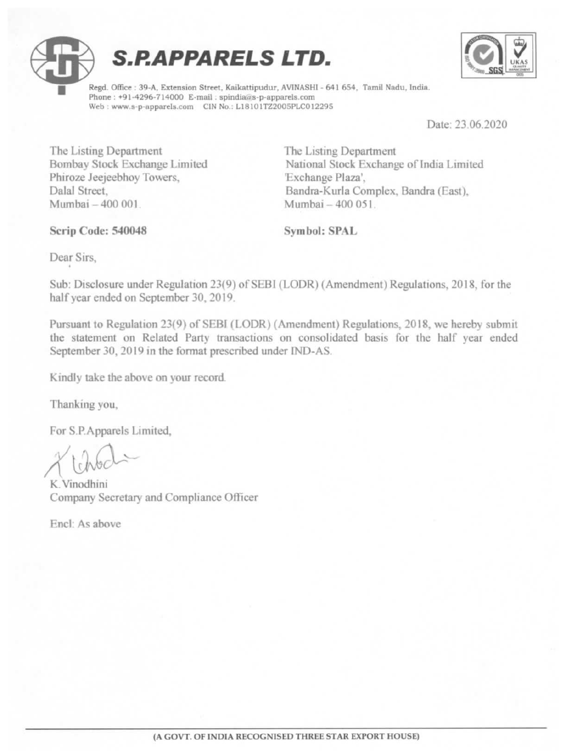





Regd. Office : 39-A, Extension Street, Kaikattipudur, AVINASHI - 641 654, Tamil Nadu, India. Phone : +91-4296-714000 E-mail ; spindia@s-p-apparels.com Web : www.s-p-apparels.com CIN No.: L18101TZ2005PLC012295

Date: 23.06.2020

÷

The Listing Department The Listing Department Phiroze Jeejeebhoy Towers, Exchange Plaza', Mumbai - 400 001 Mumbai - 400 051

Bombay Stock Exchange Limited National Stock Exchange of India Limited Dalal Street, Bandra-Kurla Complex, Bandra (East),

#### Scrip Code: 540048 Symbol: SPAL

Dear Sirs,

Sub: Disclosure under Regulation 23(9) of SEBI (LODR) (Amendment) Regulations, 2018, for the half year ended on September 30, 2019.

Pursuant to Regulation 23(9) of SEB! (LODR) (Amendment) Regulations, 2018, we hereby submit the statement on Related Party transactions on consolidated basis for the half year ended September 30, 2019 in the format prescribed under IND-AS. Serip Code: 540048<br>
Dear Sirs,<br>
Dear Sirs,<br>
Sub: Disclosure under Regulation 23(9) of SEBI (I<br>
half year ended on September 30, 2019.<br>
Pursuant to Regulation 23(9) of SEBI (LODR) (A<br>
the statement on Related Party transact

Kindly take the above on your record.

Thanking you,

For S.P.Apparels Limited,

 $X$ tchod

K. Vinodhini Company Secretary and Compliance Officer

Encl: As above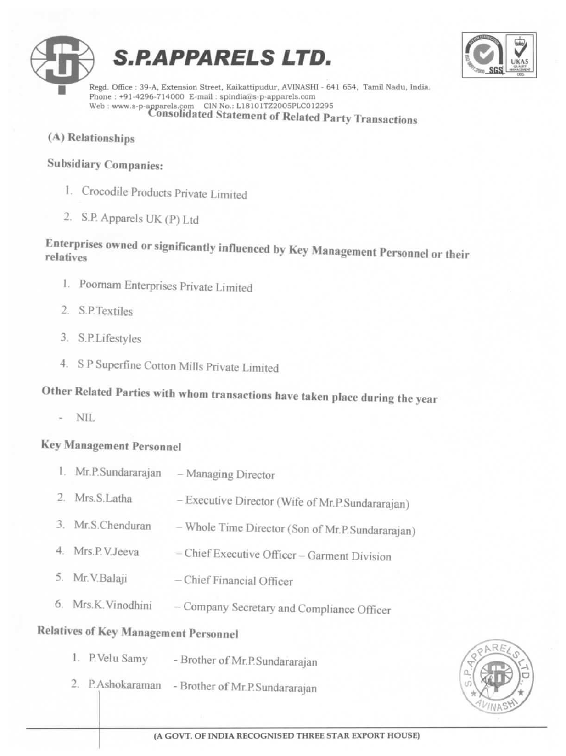



 $\begin{tabular}{l} \bf Regd. \it Office: 39-A, Extension Street, Kaikattipudur, AVINASHI - 641 654, Tamil Nadu, India. \label{tab:1} \bf Phone: +91-4296-714000 E-mail: \bf spindia@s-p-apparels.com \\ \bf Web: www.s-p-apparels.com \hspace{20pt} C0180lidated Statement of Related Party Transactions \\ \end{tabular}$ 

(A) Relationships

### Subsidiary Companies:

- I. Crocodile Products Private Limited
- 2. S.P. Apparels UK (P) Ltd

# Enterprises owned or significantly influenced by Key Management Personnel or their

- 1. Poomam Enterprises Private Limited
- 2. S.P.Textiles
- 3. S.P.Lifestyles
- 4. SP Superfine Cotton Mills Private Limited

# Other Related Parties with whom transactions have taken place during the year

### Key Management Personnel

| relatives                                    | Enterprises owned or significantly influenced by Key Management Personne    |
|----------------------------------------------|-----------------------------------------------------------------------------|
| 1. Poornam Enterprises Private Limited       |                                                                             |
| 2. S.P.Textiles                              |                                                                             |
| 3. S.P.Lifestyles                            |                                                                             |
|                                              | 4. S P Superfine Cotton Mills Private Limited                               |
|                                              | Other Related Parties with whom transactions have taken place during the yo |
| $-$ NIL                                      |                                                                             |
| <b>Key Management Personnel</b>              |                                                                             |
|                                              | 1. Mr.P.Sundararajan - Managing Director                                    |
| 2. Mrs.S.Latha                               | - Executive Director (Wife of Mr.P.Sundararajan)                            |
| 3. Mr.S.Chenduran                            | - Whole Time Director (Son of Mr.P.Sundararajan)                            |
| 4. Mrs.P.V.Jeeva                             | - Chief Executive Officer - Garment Division                                |
| 5. Mr. V. Balaji                             | - Chief Financial Officer                                                   |
| 6. Mrs.K. Vinodhini                          | - Company Secretary and Compliance Officer                                  |
| <b>Relatives of Key Management Personnel</b> |                                                                             |
| 1. P.Velu Samy                               | - Brother of Mr.P.Sundararajan                                              |
|                                              | 2. P.Ashokaraman - Brother of Mr.P.Sundararajan                             |
|                                              |                                                                             |
|                                              | (A GOVT. OF INDIA RECOGNISED THREE STAR EXPORT HOUSE)                       |

## Relatives of Key Management Personnel

- 1, P.Velu Samy Brother of Mr.P.Sundararajan
- 2. P.Ashokaraman Brother of Mr-P. Sundararajan